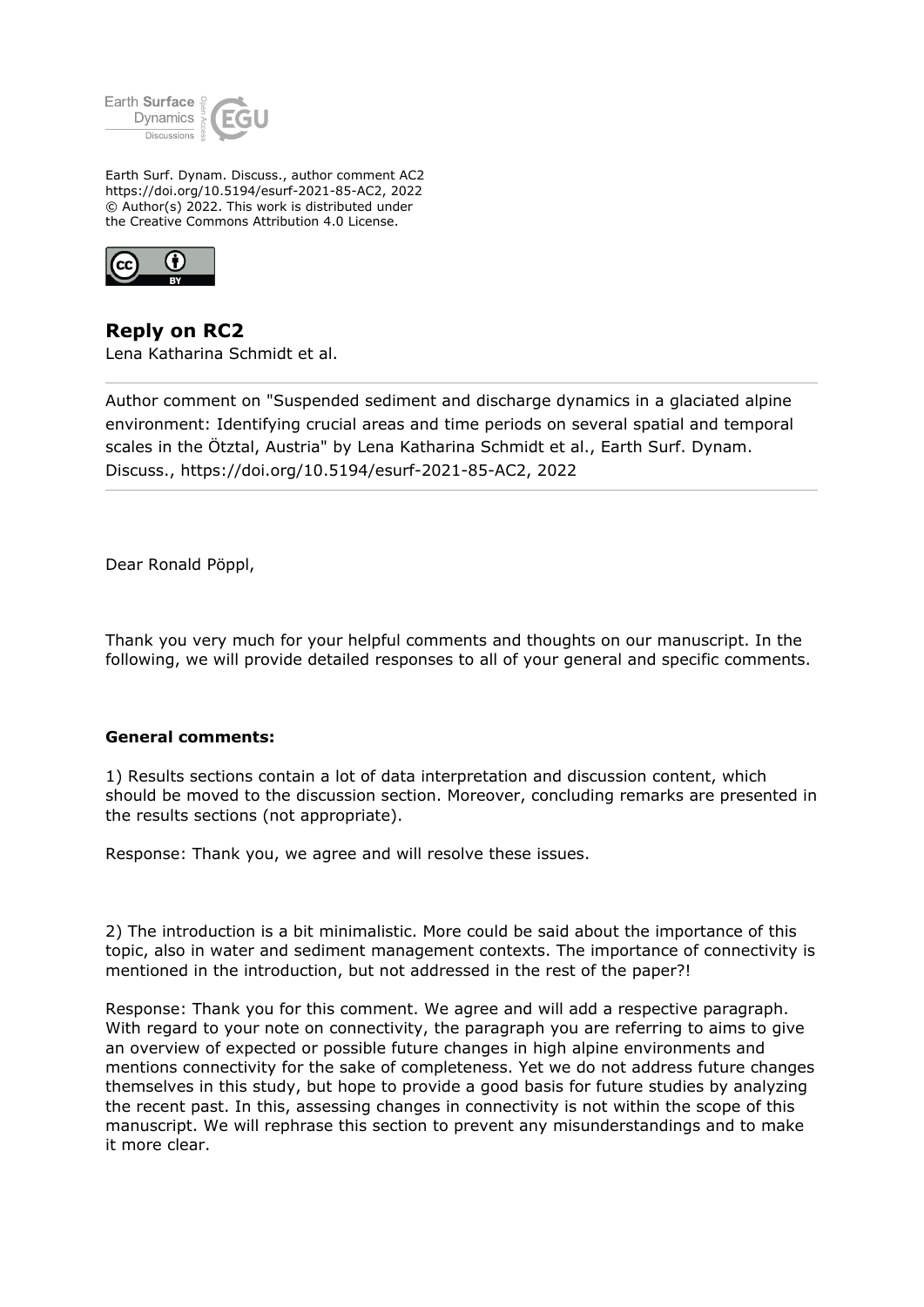

Earth Surf. Dynam. Discuss., author comment AC2 https://doi.org/10.5194/esurf-2021-85-AC2, 2022 © Author(s) 2022. This work is distributed under the Creative Commons Attribution 4.0 License.



**Reply on RC2** Lena Katharina Schmidt et al.

Author comment on "Suspended sediment and discharge dynamics in a glaciated alpine environment: Identifying crucial areas and time periods on several spatial and temporal scales in the Ötztal, Austria" by Lena Katharina Schmidt et al., Earth Surf. Dynam. Discuss., https://doi.org/10.5194/esurf-2021-85-AC2, 2022

Dear Ronald Pöppl,

Thank you very much for your helpful comments and thoughts on our manuscript. In the following, we will provide detailed responses to all of your general and specific comments.

## **General comments:**

1) Results sections contain a lot of data interpretation and discussion content, which should be moved to the discussion section. Moreover, concluding remarks are presented in the results sections (not appropriate).

Response: Thank you, we agree and will resolve these issues.

2) The introduction is a bit minimalistic. More could be said about the importance of this topic, also in water and sediment management contexts. The importance of connectivity is mentioned in the introduction, but not addressed in the rest of the paper?!

Response: Thank you for this comment. We agree and will add a respective paragraph. With regard to your note on connectivity, the paragraph you are referring to aims to give an overview of expected or possible future changes in high alpine environments and mentions connectivity for the sake of completeness. Yet we do not address future changes themselves in this study, but hope to provide a good basis for future studies by analyzing the recent past. In this, assessing changes in connectivity is not within the scope of this manuscript. We will rephrase this section to prevent any misunderstandings and to make it more clear.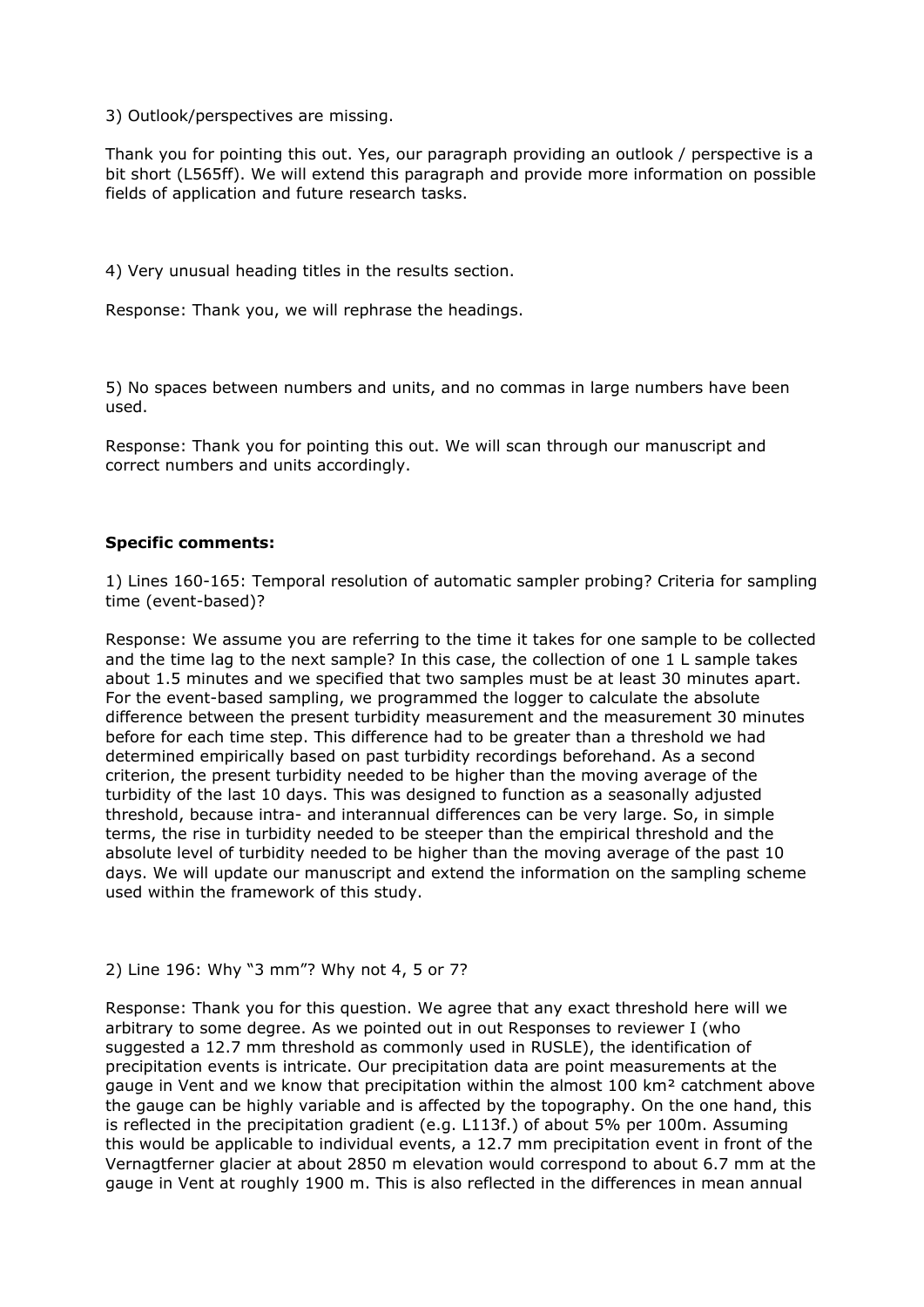3) Outlook/perspectives are missing.

Thank you for pointing this out. Yes, our paragraph providing an outlook / perspective is a bit short (L565ff). We will extend this paragraph and provide more information on possible fields of application and future research tasks.

4) Very unusual heading titles in the results section.

Response: Thank you, we will rephrase the headings.

5) No spaces between numbers and units, and no commas in large numbers have been used.

Response: Thank you for pointing this out. We will scan through our manuscript and correct numbers and units accordingly.

## **Specific comments:**

1) Lines 160-165: Temporal resolution of automatic sampler probing? Criteria for sampling time (event-based)?

Response: We assume you are referring to the time it takes for one sample to be collected and the time lag to the next sample? In this case, the collection of one 1 L sample takes about 1.5 minutes and we specified that two samples must be at least 30 minutes apart. For the event-based sampling, we programmed the logger to calculate the absolute difference between the present turbidity measurement and the measurement 30 minutes before for each time step. This difference had to be greater than a threshold we had determined empirically based on past turbidity recordings beforehand. As a second criterion, the present turbidity needed to be higher than the moving average of the turbidity of the last 10 days. This was designed to function as a seasonally adjusted threshold, because intra- and interannual differences can be very large. So, in simple terms, the rise in turbidity needed to be steeper than the empirical threshold and the absolute level of turbidity needed to be higher than the moving average of the past 10 days. We will update our manuscript and extend the information on the sampling scheme used within the framework of this study.

## 2) Line 196: Why "3 mm"? Why not 4, 5 or 7?

Response: Thank you for this question. We agree that any exact threshold here will we arbitrary to some degree. As we pointed out in out Responses to reviewer I (who suggested a 12.7 mm threshold as commonly used in RUSLE), the identification of precipitation events is intricate. Our precipitation data are point measurements at the gauge in Vent and we know that precipitation within the almost 100 km² catchment above the gauge can be highly variable and is affected by the topography. On the one hand, this is reflected in the precipitation gradient (e.g. L113f.) of about 5% per 100m. Assuming this would be applicable to individual events, a 12.7 mm precipitation event in front of the Vernagtferner glacier at about 2850 m elevation would correspond to about 6.7 mm at the gauge in Vent at roughly 1900 m. This is also reflected in the differences in mean annual